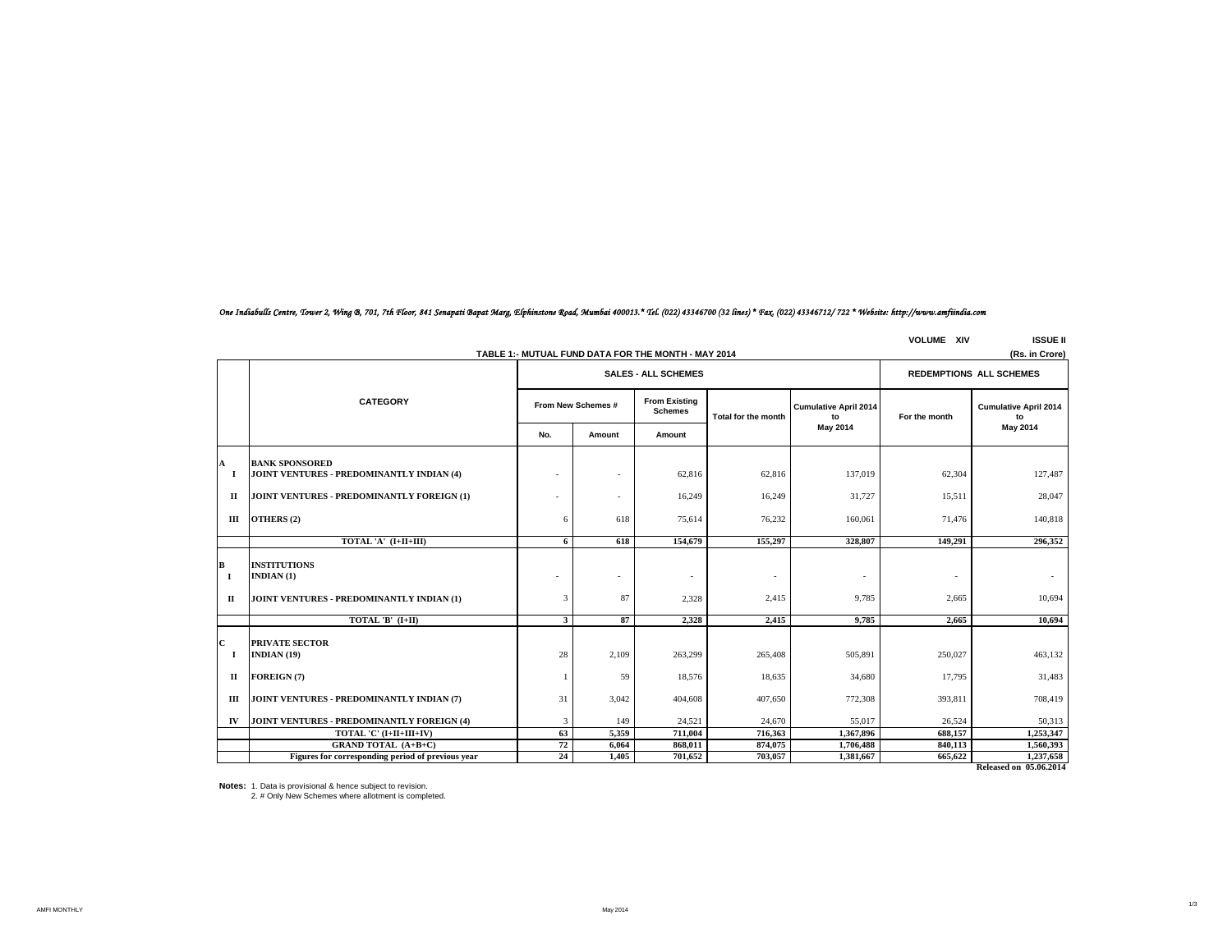|                          | TABLE 1:- MUTUAL FUND DATA FOR THE MONTH - MAY 2014<br>(Rs. in Crore)            |              |                    |                                        |                     |                                    |               |                                    |  |  |
|--------------------------|----------------------------------------------------------------------------------|--------------|--------------------|----------------------------------------|---------------------|------------------------------------|---------------|------------------------------------|--|--|
|                          |                                                                                  |              |                    | <b>REDEMPTIONS ALL SCHEMES</b>         |                     |                                    |               |                                    |  |  |
|                          | <b>CATEGORY</b>                                                                  |              | From New Schemes # | <b>From Existing</b><br><b>Schemes</b> | Total for the month | <b>Cumulative April 2014</b><br>to | For the month | <b>Cumulative April 2014</b><br>to |  |  |
|                          |                                                                                  | No.          | Amount             | Amount                                 |                     | May 2014                           |               | May 2014                           |  |  |
| $\mathbf{A}$<br>- 1      | <b>BANK SPONSORED</b><br>JOINT VENTURES - PREDOMINANTLY INDIAN (4)               | ٠            |                    | 62,816                                 | 62,816              | 137,019                            | 62,304        | 127,487                            |  |  |
| п                        | JOINT VENTURES - PREDOMINANTLY FOREIGN (1)                                       |              |                    | 16,249                                 | 16,249              | 31.727                             | 15,511        | 28,047                             |  |  |
| Ш                        | OTHERS (2)                                                                       | 6            | 618                | 75,614                                 | 76,232              | 160,061                            | 71,476        | 140,818                            |  |  |
|                          | TOTAL 'A' (I+II+III)                                                             | 6            | 618                | 154,679                                | 155,297             | 328,807                            | 149,291       | 296,352                            |  |  |
| $\, {\bf B}$<br>1<br>п   | <b>INSTITUTIONS</b><br>INDIAN $(1)$<br>JOINT VENTURES - PREDOMINANTLY INDIAN (1) | 3            | 87                 | $\sim$<br>2,328                        | 2,415               | 9,785                              | 2,665         | 10,694                             |  |  |
|                          | TOTAL 'B' (I+II)                                                                 | $\mathbf{3}$ | 87                 | 2,328                                  | 2,415               | 9,785                              | 2,665         | 10,694                             |  |  |
| $\mathbf{C}$<br>$\bf{I}$ | <b>PRIVATE SECTOR</b><br>INDIAN (19)                                             | 28           | 2,109              | 263,299                                | 265,408             | 505,891                            | 250,027       | 463,132                            |  |  |
| п                        | FOREIGN (7)                                                                      |              | 59                 | 18,576                                 | 18,635              | 34,680                             | 17,795        | 31,483                             |  |  |
| Ш                        | JOINT VENTURES - PREDOMINANTLY INDIAN (7)                                        | 31           | 3,042              | 404,608                                | 407,650             | 772,308                            | 393,811       | 708,419                            |  |  |
| IV                       | JOINT VENTURES - PREDOMINANTLY FOREIGN (4)                                       | 3            | 149                | 24,521                                 | 24,670              | 55,017                             | 26,524        | 50,313                             |  |  |
|                          | TOTAL 'C' (I+II+III+IV)                                                          | 63           | 5,359              | 711,004                                | 716,363             | 1,367,896                          | 688,157       | 1,253,347                          |  |  |
|                          | <b>GRAND TOTAL (A+B+C)</b>                                                       | 72           | 6,064              | 868,011                                | 874,075             | 1,706,488                          | 840,113       | 1,560,393                          |  |  |
|                          | Figures for corresponding period of previous year                                | 24           | 1,405              | 701,652                                | 703,057             | 1,381,667                          | 665,622       | 1,237,658                          |  |  |
|                          |                                                                                  |              |                    |                                        |                     |                                    |               | <b>Released on 05.06.2014</b>      |  |  |

**VOLUME XIV ISSUE II**

1/3

# *One Indiabulls Centre, Tower 2, Wing B, 701, 7th Floor, 841 Senapati Bapat Marg, Elphinstone Road, Mumbai 400013.\* Tel. (022) 43346700 (32 lines) \* Fax. (022) 43346712/ 722 \* Website: http://www.amfiindia.com*

**Notes:** 1. Data is provisional & hence subject to revision.

2. # Only New Schemes where allotment is completed.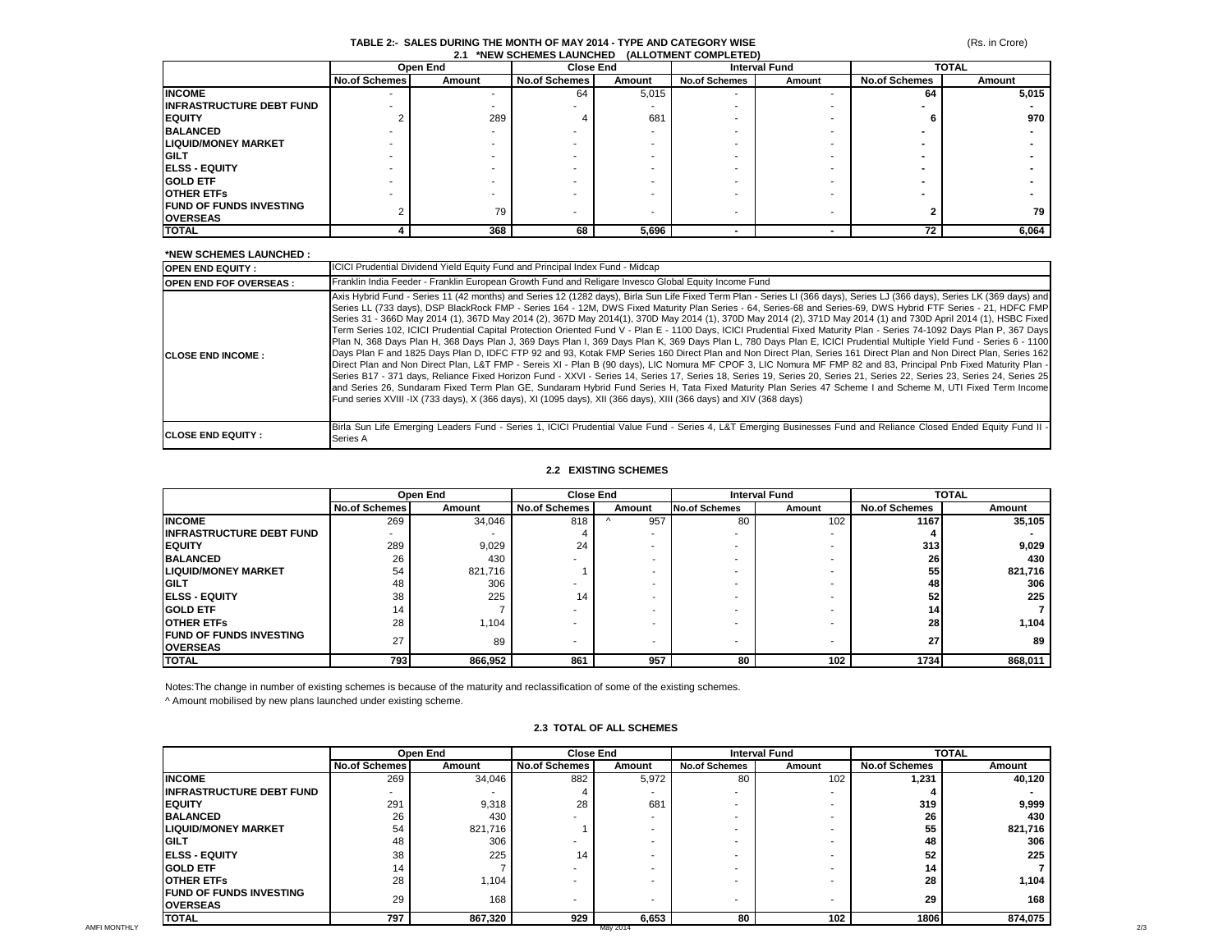## (Rs. in Crore)

#### **TABLE 2:- SALES DURING THE MONTH OF MAY 2014 - TYPE AND CATEGORY WISE 2.1 \*NEW SCHEMES LAUNCHED (ALLOTMENT COMPLETED)**

|                                  | Open End             |        |                      | <b>Close End</b> |                      | <b>Interval Fund</b> | <b>TOTAL</b>         |        |
|----------------------------------|----------------------|--------|----------------------|------------------|----------------------|----------------------|----------------------|--------|
|                                  | <b>No.of Schemes</b> | Amount | <b>No.of Schemes</b> | Amount           | <b>No.of Schemes</b> | Amount               | <b>No.of Schemes</b> | Amount |
| <b>INCOME</b>                    |                      |        | 64                   | 5,015            |                      |                      | 64                   | 5,015  |
| <b>IINFRASTRUCTURE DEBT FUND</b> |                      |        |                      |                  |                      |                      |                      |        |
| <b>IEQUITY</b>                   |                      | 289    |                      | 681              |                      |                      |                      | 970    |
| <b>BALANCED</b>                  |                      |        |                      |                  |                      |                      |                      |        |
| <b>LIQUID/MONEY MARKET</b>       |                      |        |                      |                  |                      |                      |                      |        |
| <b>IGILT</b>                     |                      |        |                      |                  |                      |                      |                      |        |
| <b>IELSS - EQUITY</b>            |                      |        |                      |                  |                      |                      |                      |        |
| <b>GOLD ETF</b>                  |                      |        |                      |                  |                      |                      |                      |        |
| <b>OTHER ETFS</b>                |                      |        |                      |                  |                      |                      |                      |        |
| <b>FUND OF FUNDS INVESTING</b>   |                      | 79     |                      |                  |                      |                      |                      | 79     |
| <b>OVERSEAS</b>                  |                      |        |                      |                  |                      |                      |                      |        |
| <b>TOTAL</b>                     |                      | 368    | 68                   | 5,696            |                      | -                    | 72                   | 6,064  |

#### **\*NEW SCHEMES LAUNCHED :**

| <b>OPEN END EQUITY:</b>       | <b>ICICI Prudential Dividend Yield Equity Fund and Principal Index Fund - Midcap</b>                                                                                                                                                                                                                                                                                                                                                                                                                                                                                                                                                                                                                                                                                                                                                                                                                                                                                                                                                                                                                                                                                                                                                                                                                                                                                                                                                                                                                                                                                                                                                                                      |
|-------------------------------|---------------------------------------------------------------------------------------------------------------------------------------------------------------------------------------------------------------------------------------------------------------------------------------------------------------------------------------------------------------------------------------------------------------------------------------------------------------------------------------------------------------------------------------------------------------------------------------------------------------------------------------------------------------------------------------------------------------------------------------------------------------------------------------------------------------------------------------------------------------------------------------------------------------------------------------------------------------------------------------------------------------------------------------------------------------------------------------------------------------------------------------------------------------------------------------------------------------------------------------------------------------------------------------------------------------------------------------------------------------------------------------------------------------------------------------------------------------------------------------------------------------------------------------------------------------------------------------------------------------------------------------------------------------------------|
| <b>OPEN END FOF OVERSEAS:</b> | Franklin India Feeder - Franklin European Growth Fund and Religare Invesco Global Equity Income Fund                                                                                                                                                                                                                                                                                                                                                                                                                                                                                                                                                                                                                                                                                                                                                                                                                                                                                                                                                                                                                                                                                                                                                                                                                                                                                                                                                                                                                                                                                                                                                                      |
| <b>ICLOSE END INCOME:</b>     | Axis Hybrid Fund - Series 11 (42 months) and Series 12 (1282 days), Birla Sun Life Fixed Term Plan - Series LI (366 days), Series LJ (366 days), Series LK (369 days) and<br>Series LL (733 days), DSP BlackRock FMP - Series 164 - 12M, DWS Fixed Maturity Plan Series - 64, Series-68 and Series-69, DWS Hybrid FTF Series - 21, HDFC FMP<br>Series 31 - 366D May 2014 (1), 367D May 2014 (2), 367D May 2014(1), 370D May 2014 (1), 370D May 2014 (2), 371D May 2014 (1) and 730D April 2014 (1), HSBC Fixed<br>Term Series 102, ICICI Prudential Capital Protection Oriented Fund V - Plan E - 1100 Davs, ICICI Prudential Fixed Maturity Plan - Series 74-1092 Davs Plan P, 367 Davs<br>Plan N, 368 Days Plan H, 368 Days Plan J, 369 Days Plan I, 369 Days Plan K, 369 Days Plan L, 780 Days Plan E, ICICI Prudential Multiple Yield Fund - Series 6 - 1100<br>Days Plan F and 1825 Days Plan D, IDFC FTP 92 and 93, Kotak FMP Series 160 Direct Plan and Non Direct Plan, Series 161 Direct Plan and Non Direct Plan, Series 162<br>Direct Plan and Non Direct Plan, L&T FMP - Sereis XI - Plan B (90 days), LIC Nomura MF CPOF 3, LIC Nomura MF FMP 82 and 83, Principal Pnb Fixed Maturity Plan -<br>Series B17 - 371 days, Reliance Fixed Horizon Fund - XXVI - Series 14, Series 17, Series 18, Series 19, Series 20, Series 21, Series 22, Series 23, Series 24, Series 25<br>land Series 26, Sundaram Fixed Term Plan GE, Sundaram Hybrid Fund Series H. Tata Fixed Maturity Plan Series 47 Scheme I and Scheme M. UTI Fixed Term Income<br>Fund series XVIII-IX (733 days), X (366 days), XI (1095 days), XII (366 days), XIII (366 days) and XIV (368 days) |
| <b>ICLOSE END EQUITY :</b>    | Birla Sun Life Emerging Leaders Fund - Series 1, ICICI Prudential Value Fund - Series 4, L&T Emerging Businesses Fund and Reliance Closed Ended Equity Fund II -<br>Series A                                                                                                                                                                                                                                                                                                                                                                                                                                                                                                                                                                                                                                                                                                                                                                                                                                                                                                                                                                                                                                                                                                                                                                                                                                                                                                                                                                                                                                                                                              |

#### **2.2 EXISTING SCHEMES**

|                                                     | Open End      |         |                      | <b>Close End</b>         |                      | <b>Interval Fund</b> |                      | <b>TOTAL</b> |  |
|-----------------------------------------------------|---------------|---------|----------------------|--------------------------|----------------------|----------------------|----------------------|--------------|--|
|                                                     | No.of Schemes | Amount  | <b>No.of Schemes</b> | Amount                   | <b>No.of Schemes</b> | Amount               | <b>No.of Schemes</b> | Amount       |  |
| <b>INCOME</b>                                       | 269           | 34,046  | 818                  | 957                      | 80                   | 102                  | 1167                 | 35,105       |  |
| <b>IINFRASTRUCTURE DEBT FUND</b>                    |               |         |                      |                          |                      |                      |                      |              |  |
| <b>IEQUITY</b>                                      | 289           | 9,029   | 24                   |                          |                      |                      | 313                  | 9,029        |  |
| <b>BALANCED</b>                                     | 26            | 430     |                      |                          |                      |                      | 26                   | 430          |  |
| <b>LIQUID/MONEY MARKET</b>                          | 54            | 821,716 |                      |                          |                      |                      | 55                   | 821,716      |  |
| <b>IGILT</b>                                        | 48            | 306     |                      |                          |                      | ۰                    | 48                   | 306          |  |
| <b>IELSS - EQUITY</b>                               | 38            | 225     | 14                   |                          |                      |                      | 52                   | 225          |  |
| <b>IGOLD ETF</b>                                    | 14            |         |                      |                          |                      |                      | 14                   |              |  |
| <b>IOTHER ETFS</b>                                  | 28            | 1,104   |                      |                          |                      |                      | <b>28</b>            | 1,104        |  |
| <b>IFUND OF FUNDS INVESTING</b><br><b>IOVERSEAS</b> | 27            | 89      | ۰                    | $\overline{\phantom{a}}$ | ۰                    | $\blacksquare$       | 27 <sub>1</sub>      | 89           |  |
| <b>TOTAL</b>                                        | 793           | 866,952 | 861                  | 957                      | 80                   | 102                  | 1734                 | 868,011      |  |

Notes:The change in number of existing schemes is because of the maturity and reclassification of some of the existing schemes.

^ Amount mobilised by new plans launched under existing scheme.

## **2.3 TOTAL OF ALL SCHEMES**

|                                  |                          | Open End | <b>Close End</b>         |                          | <b>Interval Fund</b> |        | <b>TOTAL</b>         |         |
|----------------------------------|--------------------------|----------|--------------------------|--------------------------|----------------------|--------|----------------------|---------|
|                                  | <b>No.of Schemes</b>     | Amount   | No.of Schemes            | Amount                   | <b>No.of Schemes</b> | Amount | <b>No.of Schemes</b> | Amount  |
| <b>INCOME</b>                    | 269                      | 34,046   | 882                      | 5,972                    | 80                   | 102    | 1,231                | 40,120  |
| <b>IINFRASTRUCTURE DEBT FUND</b> | $\overline{\phantom{a}}$ |          |                          |                          |                      | $\sim$ |                      |         |
| <b>IEQUITY</b>                   | 291                      | 9,318    | 28                       | 681                      |                      |        | 319                  | 9,999   |
| <b>BALANCED</b>                  | 26                       | 430      | -                        |                          |                      |        | 26                   | 430     |
| <b>LIQUID/MONEY MARKET</b>       | 54                       | 821,716  |                          |                          |                      |        | 55                   | 821,716 |
| <b>IGILT</b>                     | 48                       | 306      |                          |                          |                      |        | 48                   | 306     |
| <b>IELSS - EQUITY</b>            | 38                       | 225      | 14                       | $\overline{\phantom{a}}$ |                      | $\sim$ | 52                   | 225     |
| <b>GOLD ETF</b>                  | 14                       |          | -                        |                          |                      |        | 14                   |         |
| <b>OTHER ETFS</b>                | 28                       | 1,104    |                          |                          |                      |        | 28                   | 1,104   |
| <b>FUND OF FUNDS INVESTING</b>   | 29                       | 168      |                          |                          |                      |        | 29                   | 168     |
| <b>OVERSEAS</b>                  |                          |          | $\overline{\phantom{a}}$ |                          |                      |        |                      |         |
| <b>TOTAL</b>                     | 797                      | 867,320  | 929                      | 6,653                    | 80                   | 102    | 1806                 | 874,075 |